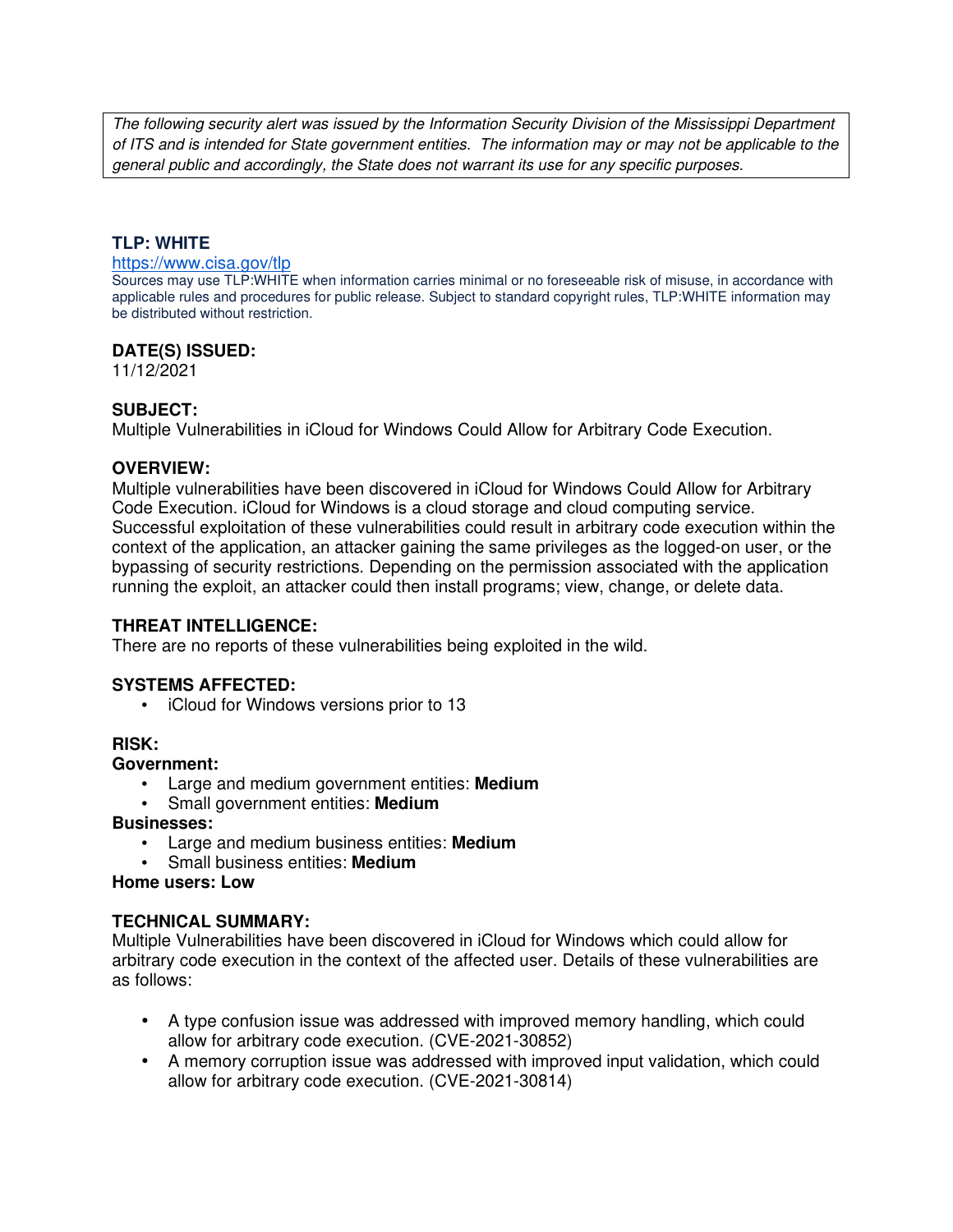The following security alert was issued by the Information Security Division of the Mississippi Department of ITS and is intended for State government entities. The information may or may not be applicable to the general public and accordingly, the State does not warrant its use for any specific purposes.

## **TLP: WHITE**

#### https://www.cisa.gov/tlp

Sources may use TLP:WHITE when information carries minimal or no foreseeable risk of misuse, in accordance with applicable rules and procedures for public release. Subject to standard copyright rules, TLP:WHITE information may be distributed without restriction.

## **DATE(S) ISSUED:**

11/12/2021

## **SUBJECT:**

Multiple Vulnerabilities in iCloud for Windows Could Allow for Arbitrary Code Execution.

### **OVERVIEW:**

Multiple vulnerabilities have been discovered in iCloud for Windows Could Allow for Arbitrary Code Execution. iCloud for Windows is a cloud storage and cloud computing service. Successful exploitation of these vulnerabilities could result in arbitrary code execution within the context of the application, an attacker gaining the same privileges as the logged-on user, or the bypassing of security restrictions. Depending on the permission associated with the application running the exploit, an attacker could then install programs; view, change, or delete data.

### **THREAT INTELLIGENCE:**

There are no reports of these vulnerabilities being exploited in the wild.

## **SYSTEMS AFFECTED:**

• iCloud for Windows versions prior to 13

## **RISK:**

#### **Government:**

- Large and medium government entities: **Medium**
- Small government entities: **Medium**

#### **Businesses:**

- Large and medium business entities: **Medium**
- Small business entities: **Medium**

#### **Home users: Low**

## **TECHNICAL SUMMARY:**

Multiple Vulnerabilities have been discovered in iCloud for Windows which could allow for arbitrary code execution in the context of the affected user. Details of these vulnerabilities are as follows:

- A type confusion issue was addressed with improved memory handling, which could allow for arbitrary code execution. (CVE-2021-30852)
- A memory corruption issue was addressed with improved input validation, which could allow for arbitrary code execution. (CVE-2021-30814)